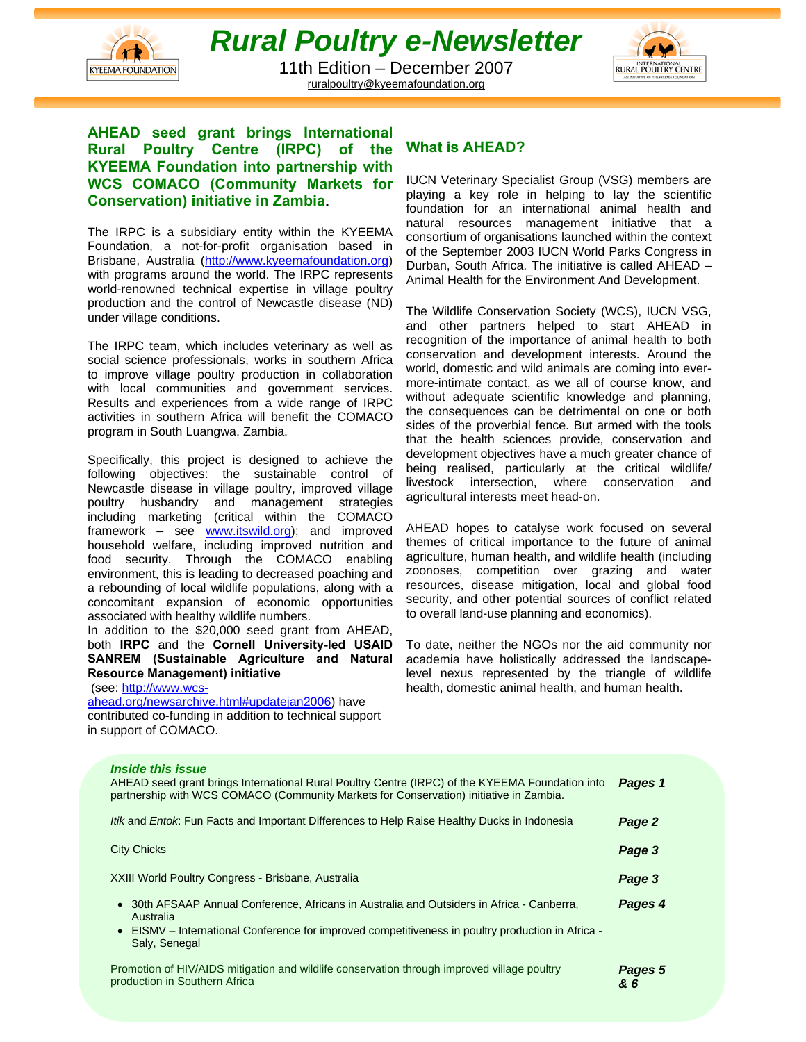

# *Rural Poultry e-Newsletter*

11th Edition – December 2007 ruralpoultry@kyeemafoundation.org



**AHEAD seed grant brings International Rural Poultry Centre (IRPC) of the KYEEMA Foundation into partnership with WCS COMACO (Community Markets for Conservation) initiative in Zambia.**

The IRPC is a subsidiary entity within the KYEEMA Foundation, a not-for-profit organisation based in Brisbane, Australia (http://www.kyeemafoundation.org) with programs around the world. The IRPC represents world-renowned technical expertise in village poultry production and the control of Newcastle disease (ND) under village conditions.

The IRPC team, which includes veterinary as well as social science professionals, works in southern Africa to improve village poultry production in collaboration with local communities and government services. Results and experiences from a wide range of IRPC activities in southern Africa will benefit the COMACO program in South Luangwa, Zambia.

Specifically, this project is designed to achieve the following objectives: the sustainable control of Newcastle disease in village poultry, improved village poultry husbandry and management strategies including marketing (critical within the COMACO framework – see www.itswild.org); and improved household welfare, including improved nutrition and food security. Through the COMACO enabling environment, this is leading to decreased poaching and a rebounding of local wildlife populations, along with a concomitant expansion of economic opportunities associated with healthy wildlife numbers.

In addition to the \$20,000 seed grant from AHEAD, both **IRPC** and the **Cornell University-led USAID SANREM (Sustainable Agriculture and Natural Resource Management) initiative** 

(see: http://www.wcs-

ahead.org/newsarchive.html#updatejan2006) have contributed co-funding in addition to technical support in support of COMACO.

### **What is AHEAD?**

IUCN Veterinary Specialist Group (VSG) members are playing a key role in helping to lay the scientific foundation for an international animal health and natural resources management initiative that a consortium of organisations launched within the context of the September 2003 IUCN World Parks Congress in Durban, South Africa. The initiative is called AHEAD – Animal Health for the Environment And Development.

The Wildlife Conservation Society (WCS), IUCN VSG, and other partners helped to start AHEAD in recognition of the importance of animal health to both conservation and development interests. Around the world, domestic and wild animals are coming into evermore-intimate contact, as we all of course know, and without adequate scientific knowledge and planning, the consequences can be detrimental on one or both sides of the proverbial fence. But armed with the tools that the health sciences provide, conservation and development objectives have a much greater chance of being realised, particularly at the critical wildlife/ livestock intersection, where conservation and agricultural interests meet head-on.

AHEAD hopes to catalyse work focused on several themes of critical importance to the future of animal agriculture, human health, and wildlife health (including zoonoses, competition over grazing and water resources, disease mitigation, local and global food security, and other potential sources of conflict related to overall land-use planning and economics).

To date, neither the NGOs nor the aid community nor academia have holistically addressed the landscapelevel nexus represented by the triangle of wildlife health, domestic animal health, and human health.

| <b>Inside this issue</b><br>AHEAD seed grant brings International Rural Poultry Centre (IRPC) of the KYEEMA Foundation into<br>partnership with WCS COMACO (Community Markets for Conservation) initiative in Zambia.         | Pages 1        |
|-------------------------------------------------------------------------------------------------------------------------------------------------------------------------------------------------------------------------------|----------------|
| <i>Itik</i> and <i>Entok</i> : Fun Facts and Important Differences to Help Raise Healthy Ducks in Indonesia                                                                                                                   | Page 2         |
| <b>City Chicks</b>                                                                                                                                                                                                            | Page 3         |
| XXIII World Poultry Congress - Brisbane, Australia                                                                                                                                                                            | Page 3         |
| • 30th AFSAAP Annual Conference, Africans in Australia and Outsiders in Africa - Canberra,<br>Australia<br>• EISMV – International Conference for improved competitiveness in poultry production in Africa -<br>Saly, Senegal | Pages 4        |
| Promotion of HIV/AIDS mitigation and wildlife conservation through improved village poultry<br>production in Southern Africa                                                                                                  | Pages 5<br>& 6 |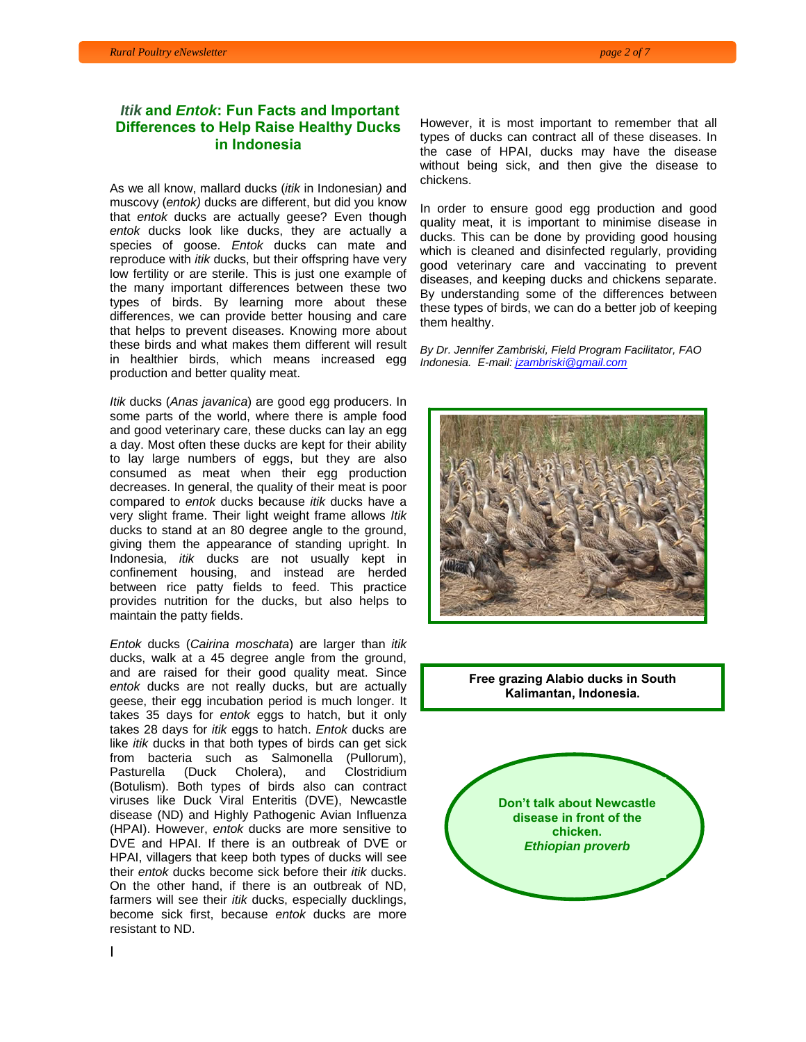#### *Itik* **and** *Entok***: Fun Facts and Important Differences to Help Raise Healthy Ducks in Indonesia**

As we all know, mallard ducks (*itik* in Indonesian*)* and muscovy (*entok)* ducks are different, but did you know that *entok* ducks are actually geese? Even though *entok* ducks look like ducks, they are actually a species of goose. *Entok* ducks can mate and reproduce with *itik* ducks, but their offspring have very low fertility or are sterile. This is just one example of the many important differences between these two types of birds. By learning more about these differences, we can provide better housing and care that helps to prevent diseases. Knowing more about these birds and what makes them different will result in healthier birds, which means increased egg production and better quality meat.

*Itik* ducks (*Anas javanica*) are good egg producers. In some parts of the world, where there is ample food and good veterinary care, these ducks can lay an egg a day. Most often these ducks are kept for their ability to lay large numbers of eggs, but they are also consumed as meat when their egg production decreases. In general, the quality of their meat is poor compared to *entok* ducks because *itik* ducks have a very slight frame. Their light weight frame allows *Itik* ducks to stand at an 80 degree angle to the ground, giving them the appearance of standing upright. In Indonesia, *itik* ducks are not usually kept in confinement housing, and instead are herded between rice patty fields to feed. This practice provides nutrition for the ducks, but also helps to maintain the patty fields.

*Entok* ducks (*Cairina moschata*) are larger than *itik* ducks, walk at a 45 degree angle from the ground, and are raised for their good quality meat. Since *entok* ducks are not really ducks, but are actually geese, their egg incubation period is much longer. It takes 35 days for *entok* eggs to hatch, but it only takes 28 days for *itik* eggs to hatch. *Entok* ducks are like *itik* ducks in that both types of birds can get sick from bacteria such as Salmonella (Pullorum), Pasturella (Duck Cholera), and Clostridium (Botulism). Both types of birds also can contract viruses like Duck Viral Enteritis (DVE), Newcastle disease (ND) and Highly Pathogenic Avian Influenza (HPAI). However, *entok* ducks are more sensitive to DVE and HPAI. If there is an outbreak of DVE or HPAI, villagers that keep both types of ducks will see their *entok* ducks become sick before their *itik* ducks. On the other hand, if there is an outbreak of ND, farmers will see their *itik* ducks, especially ducklings, become sick first, because *entok* ducks are more resistant to ND.

However, it is most important to remember that all types of ducks can contract all of these diseases. In the case of HPAI, ducks may have the disease without being sick, and then give the disease to chickens.

In order to ensure good egg production and good quality meat, it is important to minimise disease in ducks. This can be done by providing good housing which is cleaned and disinfected regularly, providing good veterinary care and vaccinating to prevent diseases, and keeping ducks and chickens separate. By understanding some of the differences between these types of birds, we can do a better job of keeping them healthy.

*By Dr. Jennifer Zambriski, Field Program Facilitator, FAO Indonesia. E-mail: jzambriski@gmail.com*



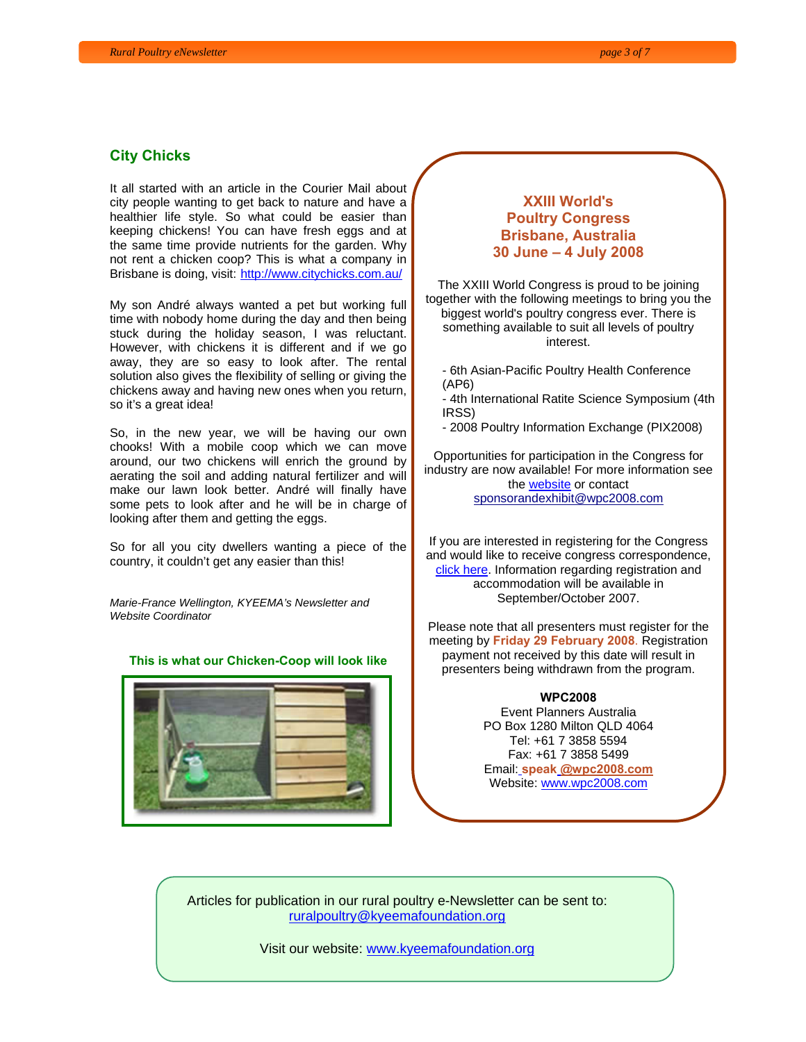#### **City Chicks**

It all started with an article in the Courier Mail about city people wanting to get back to nature and have a healthier life style. So what could be easier than keeping chickens! You can have fresh eggs and at the same time provide nutrients for the garden. Why not rent a chicken coop? This is what a company in Brisbane is doing, visit: http://www.citychicks.com.au/

My son André always wanted a pet but working full time with nobody home during the day and then being stuck during the holiday season, I was reluctant. However, with chickens it is different and if we go away, they are so easy to look after. The rental solution also gives the flexibility of selling or giving the chickens away and having new ones when you return, so it's a great idea!

So, in the new year, we will be having our own chooks! With a mobile coop which we can move around, our two chickens will enrich the ground by aerating the soil and adding natural fertilizer and will make our lawn look better. André will finally have some pets to look after and he will be in charge of looking after them and getting the eggs.

So for all you city dwellers wanting a piece of the country, it couldn't get any easier than this!

*Marie-France Wellington, KYEEMA's Newsletter and Website Coordinator* 

#### **This is what our Chicken-Coop will look like**



#### **XXIII World's Poultry Congress Brisbane, Australia 30 June – 4 July 2008**

The XXIII World Congress is proud to be joining together with the following meetings to bring you the biggest world's poultry congress ever. There is something available to suit all levels of poultry interest.

- 6th Asian-Pacific Poultry Health Conference (AP6)

- 4th International Ratite Science Symposium (4th IRSS)

- 2008 Poultry Information Exchange (PIX2008)

Opportunities for participation in the Congress for industry are now available! For more information see the website or contact sponsorandexhibit@wpc2008.com

If you are interested in registering for the Congress and would like to receive congress correspondence, click here. Information regarding registration and accommodation will be available in September/October 2007.

Please note that all presenters must register for the meeting by **Friday 29 February 2008**. Registration payment not received by this date will result in presenters being withdrawn from the program.

> **WPC2008** Event Planners Australia PO Box 1280 Milton QLD 4064 Tel: +61 7 3858 5594 Fax: +61 7 3858 5499 Email: **speak @wpc2008.com** Website: www.wpc2008.com

Articles for publication in our rural poultry e-Newsletter can be sent to: ruralpoultry@kyeemafoundation.org

Visit our website: www.kyeemafoundation.org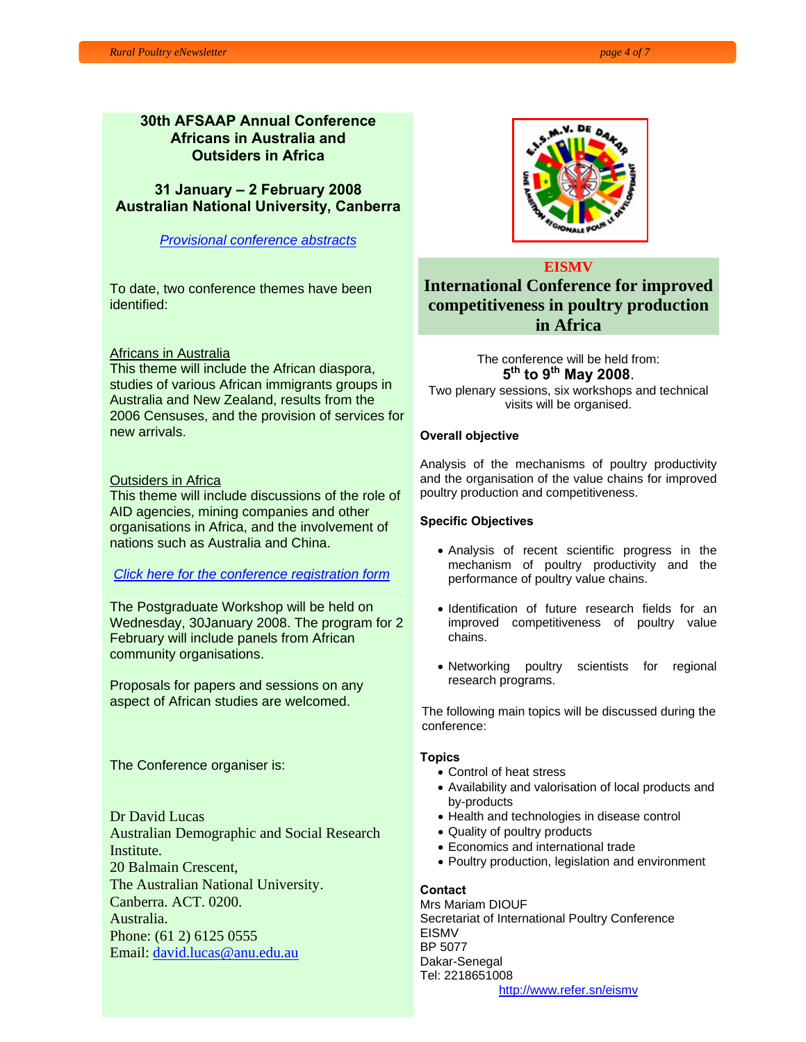#### **30th AFSAAP Annual Conference Africans in Australia and Outsiders in Africa**

**31 January – 2 February 2008 Australian National University, Canberra**

*Provisional conference abstracts*

To date, two conference themes have been identified:

#### Africans in Australia

This theme will include the African diaspora, studies of various African immigrants groups in Australia and New Zealand, results from the 2006 Censuses, and the provision of services for new arrivals.

#### Outsiders in Africa

This theme will include discussions of the role of AID agencies, mining companies and other organisations in Africa, and the involvement of nations such as Australia and China.

#### *Click here for the conference registration form*

The Postgraduate Workshop will be held on Wednesday, 30January 2008. The program for 2 February will include panels from African community organisations.

Proposals for papers and sessions on any aspect of African studies are welcomed.

The Conference organiser is:

Dr David Lucas Australian Demographic and Social Research Institute. 20 Balmain Crescent, The Australian National University. Canberra. ACT. 0200. Australia. Phone: (61 2) 6125 0555 Email: david.lucas@anu.edu.au



#### **EISMV**

## **International Conference for improved competitiveness in poultry production in Africa**

The conference will be held from:<br> $5<sup>th</sup>$  to  $9<sup>th</sup>$  May 2008. **<sup>5</sup>th to 9th May 2008**. Two plenary sessions, six workshops and technical visits will be organised.

#### **Overall objective**

Analysis of the mechanisms of poultry productivity and the organisation of the value chains for improved poultry production and competitiveness.

#### **Specific Objectives**

- Analysis of recent scientific progress in the mechanism of poultry productivity and the performance of poultry value chains.
- Identification of future research fields for an improved competitiveness of poultry value chains.
- Networking poultry scientists for regional research programs.

The following main topics will be discussed during the conference:

#### **Topics**

- Control of heat stress
- Availability and valorisation of local products and by-products
- Health and technologies in disease control
- Quality of poultry products
- Economics and international trade
- Poultry production, legislation and environment

#### **Contact**

Mrs Mariam DIOUF Secretariat of International Poultry Conference EISMV BP 5077 Dakar-Senegal Tel: 2218651008 http://www.refer.sn/eismv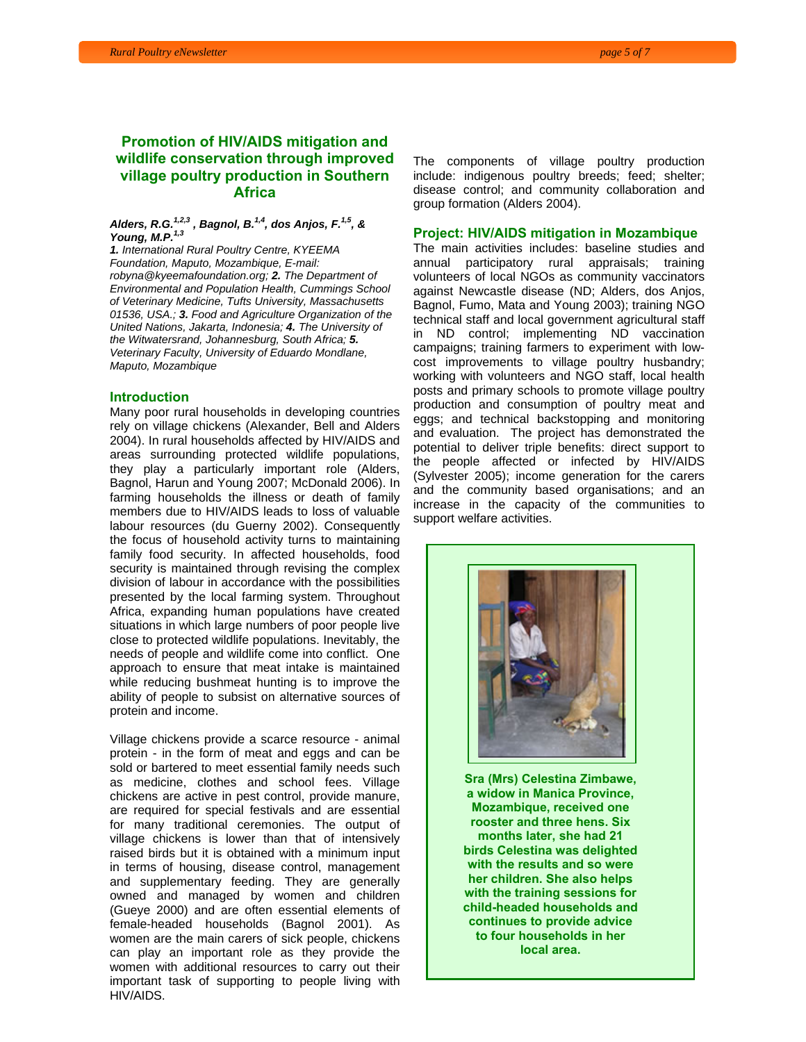#### **Promotion of HIV/AIDS mitigation and wildlife conservation through improved village poultry production in Southern Africa**

#### *Alders, R.G.1,2,3 , Bagnol, B.1,4, dos Anjos, F.1,5, & Young, M.P.1,3*

*1. International Rural Poultry Centre, KYEEMA Foundation, Maputo, Mozambique, E-mail: robyna@kyeemafoundation.org; 2. The Department of Environmental and Population Health, Cummings School of Veterinary Medicine, Tufts University, Massachusetts 01536, USA.; 3. Food and Agriculture Organization of the United Nations, Jakarta, Indonesia; 4. The University of the Witwatersrand, Johannesburg, South Africa; 5. Veterinary Faculty, University of Eduardo Mondlane, Maputo, Mozambique* 

#### **Introduction**

Many poor rural households in developing countries rely on village chickens (Alexander, Bell and Alders 2004). In rural households affected by HIV/AIDS and areas surrounding protected wildlife populations, they play a particularly important role (Alders, Bagnol, Harun and Young 2007; McDonald 2006). In farming households the illness or death of family members due to HIV/AIDS leads to loss of valuable labour resources (du Guerny 2002). Consequently the focus of household activity turns to maintaining family food security. In affected households, food security is maintained through revising the complex division of labour in accordance with the possibilities presented by the local farming system. Throughout Africa, expanding human populations have created situations in which large numbers of poor people live close to protected wildlife populations. Inevitably, the needs of people and wildlife come into conflict. One approach to ensure that meat intake is maintained while reducing bushmeat hunting is to improve the ability of people to subsist on alternative sources of protein and income.

 HIV/AIDS. Village chickens provide a scarce resource - animal protein - in the form of meat and eggs and can be sold or bartered to meet essential family needs such as medicine, clothes and school fees. Village chickens are active in pest control, provide manure, are required for special festivals and are essential for many traditional ceremonies. The output of village chickens is lower than that of intensively raised birds but it is obtained with a minimum input in terms of housing, disease control, management and supplementary feeding. They are generally owned and managed by women and children (Gueye 2000) and are often essential elements of female-headed households (Bagnol 2001). As women are the main carers of sick people, chickens can play an important role as they provide the women with additional resources to carry out their important task of supporting to people living with The components of village poultry production include: indigenous poultry breeds; feed; shelter; disease control; and community collaboration and group formation (Alders 2004).

#### **Project: HIV/AIDS mitigation in Mozambique**

The main activities includes: baseline studies and annual participatory rural appraisals; training volunteers of local NGOs as community vaccinators against Newcastle disease (ND; Alders, dos Anjos, Bagnol, Fumo, Mata and Young 2003); training NGO technical staff and local government agricultural staff in ND control; implementing ND vaccination campaigns; training farmers to experiment with lowcost improvements to village poultry husbandry; working with volunteers and NGO staff, local health posts and primary schools to promote village poultry production and consumption of poultry meat and eggs; and technical backstopping and monitoring and evaluation. The project has demonstrated the potential to deliver triple benefits: direct support to the people affected or infected by HIV/AIDS (Sylvester 2005); income generation for the carers and the community based organisations; and an increase in the capacity of the communities to support welfare activities.



**Sra (Mrs) Celestina Zimbawe, a widow in Manica Province, Mozambique, received one rooster and three hens. Six months later, she had 21 birds Celestina was delighted with the results and so were her children. She also helps with the training sessions for child-headed households and continues to provide advice to four households in her local area.**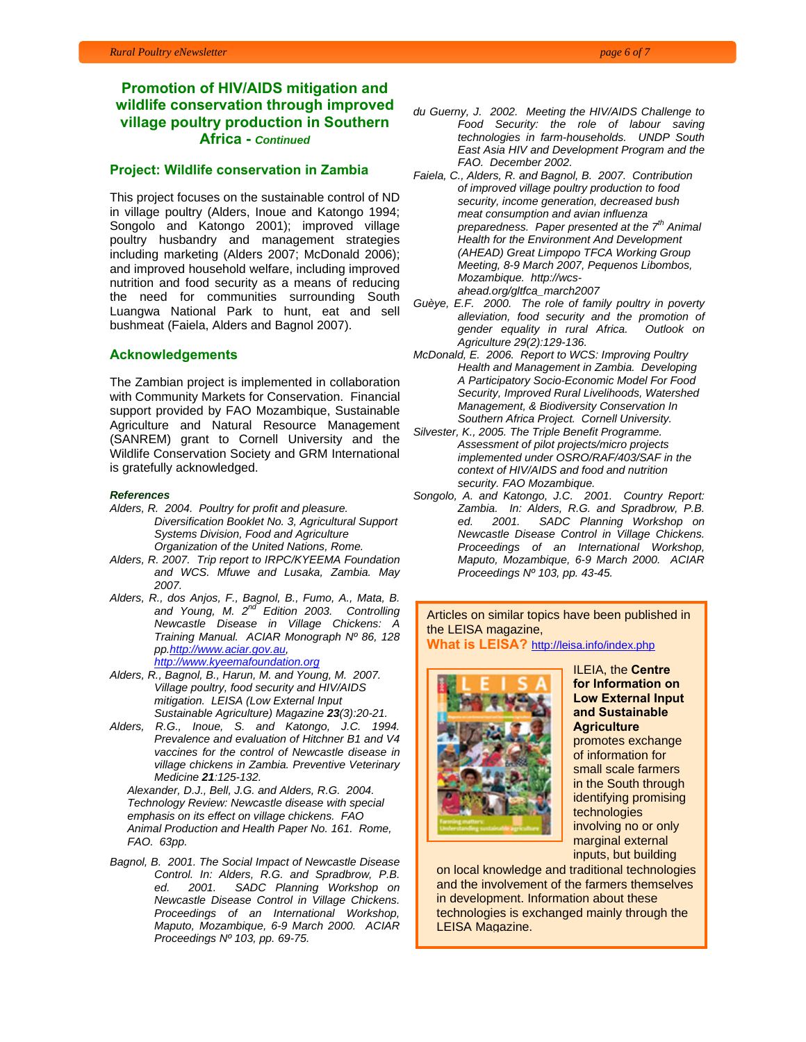#### **Promotion of HIV/AIDS mitigation and wildlife conservation through improved village poultry production in Southern Africa -** *Continued*

#### **Project: Wildlife conservation in Zambia**

This project focuses on the sustainable control of ND in village poultry (Alders, Inoue and Katongo 1994; Songolo and Katongo 2001); improved village poultry husbandry and management strategies including marketing (Alders 2007; McDonald 2006); and improved household welfare, including improved nutrition and food security as a means of reducing the need for communities surrounding South Luangwa National Park to hunt, eat and sell bushmeat (Faiela, Alders and Bagnol 2007).

#### **Acknowledgements**

The Zambian project is implemented in collaboration with Community Markets for Conservation. Financial support provided by FAO Mozambique, Sustainable Agriculture and Natural Resource Management (SANREM) grant to Cornell University and the Wildlife Conservation Society and GRM International is gratefully acknowledged.

#### *References*

- *Alders, R. 2004. Poultry for profit and pleasure. Diversification Booklet No. 3, Agricultural Support Systems Division, Food and Agriculture Organization of the United Nations, Rome.*
- *Alders, R. 2007. Trip report to IRPC/KYEEMA Foundation and WCS. Mfuwe and Lusaka, Zambia. May 2007.*
- *Alders, R., dos Anjos, F., Bagnol, B., Fumo, A., Mata, B. and Young, M. 2nd Edition 2003. Controlling Newcastle Disease in Village Chickens: A Training Manual. ACIAR Monograph Nº 86, 128 pp.http://www.aciar.gov.au, http://www.kyeemafoundation.org*
- *Alders, R., Bagnol, B., Harun, M. and Young, M. 2007. Village poultry, food security and HIV/AIDS mitigation. LEISA (Low External Input Sustainable Agriculture) Magazine 23(3):20-21.*
- *Alders, R.G., Inoue, S. and Katongo, J.C. 1994. Prevalence and evaluation of Hitchner B1 and V4 vaccines for the control of Newcastle disease in village chickens in Zambia. Preventive Veterinary Medicine 21:125-132.*

*Alexander, D.J., Bell, J.G. and Alders, R.G. 2004. Technology Review: Newcastle disease with special emphasis on its effect on village chickens. FAO Animal Production and Health Paper No. 161. Rome, FAO. 63pp.* 

*Bagnol, B. 2001. The Social Impact of Newcastle Disease Control. In: Alders, R.G. and Spradbrow, P.B. ed. 2001. SADC Planning Workshop on Newcastle Disease Control in Village Chickens. Proceedings of an International Workshop, Maputo, Mozambique, 6-9 March 2000. ACIAR Proceedings Nº 103, pp. 69-75.* 

- *du Guerny, J. 2002. Meeting the HIV/AIDS Challenge to Food Security: the role of labour saving technologies in farm-households. UNDP South East Asia HIV and Development Program and the FAO. December 2002.*
- *Faiela, C., Alders, R. and Bagnol, B. 2007. Contribution of improved village poultry production to food security, income generation, decreased bush meat consumption and avian influenza preparedness. Paper presented at the 7<sup>th</sup> Animal Health for the Environment And Development (AHEAD) Great Limpopo TFCA Working Group Meeting, 8-9 March 2007, Pequenos Libombos, Mozambique. http://wcsahead.org/gltfca\_march2007*
- *Guèye, E.F. 2000. The role of family poultry in poverty alleviation, food security and the promotion of gender equality in rural Africa. Outlook on Agriculture 29(2):129-136.*
- *McDonald, E. 2006. Report to WCS: Improving Poultry Health and Management in Zambia. Developing A Participatory Socio-Economic Model For Food Security, Improved Rural Livelihoods, Watershed Management, & Biodiversity Conservation In Southern Africa Project. Cornell University.*
- *Silvester, K., 2005. The Triple Benefit Programme. Assessment of pilot projects/micro projects implemented under OSRO/RAF/403/SAF in the context of HIV/AIDS and food and nutrition security. FAO Mozambique.*
- *Songolo, A. and Katongo, J.C. 2001. Country Report: Zambia. In: Alders, R.G. and Spradbrow, P.B. ed. 2001. SADC Planning Workshop on Newcastle Disease Control in Village Chickens. Proceedings of an International Workshop, Maputo, Mozambique, 6-9 March 2000. ACIAR Proceedings Nº 103, pp. 43-45.*

Articles on similar topics have been published in the LEISA magazine,

**What is LEISA?** http://leisa.info/index.php



ILEIA, the **Centre for Information on Low External Input and Sustainable Agriculture** promotes exchange of information for small scale farmers in the South through identifying promising technologies involving no or only marginal external inputs, but building

on local knowledge and traditional technologies and the involvement of the farmers themselves in development. Information about these technologies is exchanged mainly through the LEISA Magazine.